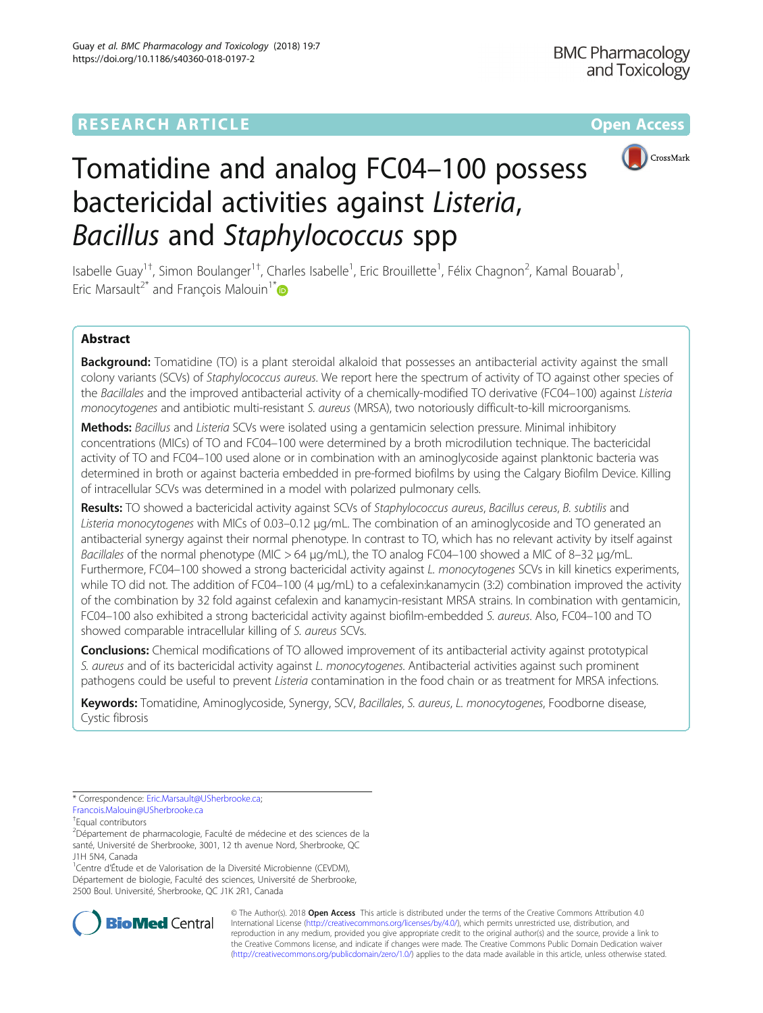

# Tomatidine and analog FC04–100 possess bactericidal activities against Listeria, Bacillus and Staphylococcus spp

Isabelle Guay<sup>1†</sup>, Simon Boulanger<sup>1†</sup>, Charles Isabelle<sup>1</sup>, Eric Brouillette<sup>1</sup>, Félix Chagnon<sup>2</sup>, Kamal Bouarab<sup>1</sup> , Eric Marsault<sup>2[\\*](http://orcid.org/0000-0001-5031-345X)</sup> and Francois Malouin<sup>1\*</sup>

# Abstract

Background: Tomatidine (TO) is a plant steroidal alkaloid that possesses an antibacterial activity against the small colony variants (SCVs) of Staphylococcus aureus. We report here the spectrum of activity of TO against other species of the Bacillales and the improved antibacterial activity of a chemically-modified TO derivative (FC04–100) against Listeria monocytogenes and antibiotic multi-resistant S. aureus (MRSA), two notoriously difficult-to-kill microorganisms.

Methods: Bacillus and Listeria SCVs were isolated using a gentamicin selection pressure. Minimal inhibitory concentrations (MICs) of TO and FC04–100 were determined by a broth microdilution technique. The bactericidal activity of TO and FC04–100 used alone or in combination with an aminoglycoside against planktonic bacteria was determined in broth or against bacteria embedded in pre-formed biofilms by using the Calgary Biofilm Device. Killing of intracellular SCVs was determined in a model with polarized pulmonary cells.

Results: TO showed a bactericidal activity against SCVs of Staphylococcus aureus, Bacillus cereus, B. subtilis and Listeria monocytogenes with MICs of 0.03–0.12 μg/mL. The combination of an aminoglycoside and TO generated an antibacterial synergy against their normal phenotype. In contrast to TO, which has no relevant activity by itself against Bacillales of the normal phenotype (MIC > 64 μg/mL), the TO analog FC04–100 showed a MIC of 8–32 μg/mL. Furthermore, FC04–100 showed a strong bactericidal activity against L. monocytogenes SCVs in kill kinetics experiments, while TO did not. The addition of FC04–100 (4 μg/mL) to a cefalexin:kanamycin (3:2) combination improved the activity of the combination by 32 fold against cefalexin and kanamycin-resistant MRSA strains. In combination with gentamicin, FC04–100 also exhibited a strong bactericidal activity against biofilm-embedded S. aureus. Also, FC04–100 and TO showed comparable intracellular killing of S. aureus SCVs.

**Conclusions:** Chemical modifications of TO allowed improvement of its antibacterial activity against prototypical S. aureus and of its bactericidal activity against L. monocytogenes. Antibacterial activities against such prominent pathogens could be useful to prevent Listeria contamination in the food chain or as treatment for MRSA infections.

Keywords: Tomatidine, Aminoglycoside, Synergy, SCV, Bacillales, S. aureus, L. monocytogenes, Foodborne disease, Cystic fibrosis

\* Correspondence: [Eric.Marsault@USherbrooke.ca;](mailto:Eric.Marsault@USherbrooke.ca) [Francois.Malouin@USherbrooke.ca](mailto:Francois.Malouin@USherbrooke.ca)

† Equal contributors

<sup>1</sup>Centre d'Étude et de Valorisation de la Diversité Microbienne (CEVDM), Département de biologie, Faculté des sciences, Université de Sherbrooke, 2500 Boul. Université, Sherbrooke, QC J1K 2R1, Canada



© The Author(s). 2018 Open Access This article is distributed under the terms of the Creative Commons Attribution 4.0 International License [\(http://creativecommons.org/licenses/by/4.0/](http://creativecommons.org/licenses/by/4.0/)), which permits unrestricted use, distribution, and reproduction in any medium, provided you give appropriate credit to the original author(s) and the source, provide a link to the Creative Commons license, and indicate if changes were made. The Creative Commons Public Domain Dedication waiver [\(http://creativecommons.org/publicdomain/zero/1.0/](http://creativecommons.org/publicdomain/zero/1.0/)) applies to the data made available in this article, unless otherwise stated.

<sup>&</sup>lt;sup>2</sup>Département de pharmacologie, Faculté de médecine et des sciences de la santé, Université de Sherbrooke, 3001, 12 th avenue Nord, Sherbrooke, QC J1H 5N4, Canada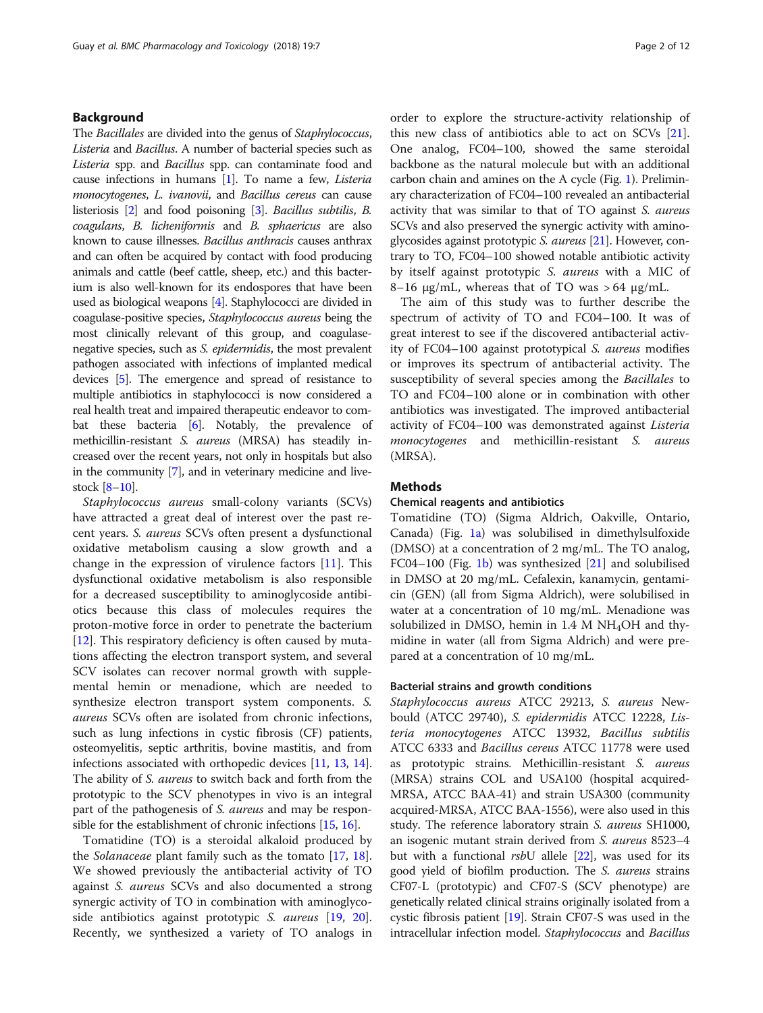# Background

The Bacillales are divided into the genus of Staphylococcus, Listeria and Bacillus. A number of bacterial species such as Listeria spp. and *Bacillus* spp. can contaminate food and cause infections in humans [\[1\]](#page-10-0). To name a few, Listeria monocytogenes, L. ivanovii, and Bacillus cereus can cause listeriosis [\[2\]](#page-10-0) and food poisoning [\[3\]](#page-10-0). Bacillus subtilis, B. coagulans, B. licheniformis and B. sphaericus are also known to cause illnesses. Bacillus anthracis causes anthrax and can often be acquired by contact with food producing animals and cattle (beef cattle, sheep, etc.) and this bacterium is also well-known for its endospores that have been used as biological weapons [\[4\]](#page-10-0). Staphylococci are divided in coagulase-positive species, Staphylococcus aureus being the most clinically relevant of this group, and coagulasenegative species, such as S. epidermidis, the most prevalent pathogen associated with infections of implanted medical devices [\[5\]](#page-10-0). The emergence and spread of resistance to multiple antibiotics in staphylococci is now considered a real health treat and impaired therapeutic endeavor to combat these bacteria [\[6\]](#page-10-0). Notably, the prevalence of methicillin-resistant S. aureus (MRSA) has steadily increased over the recent years, not only in hospitals but also in the community [\[7\]](#page-10-0), and in veterinary medicine and livestock [[8](#page-10-0)–[10\]](#page-10-0).

Staphylococcus aureus small-colony variants (SCVs) have attracted a great deal of interest over the past recent years. S. aureus SCVs often present a dysfunctional oxidative metabolism causing a slow growth and a change in the expression of virulence factors [\[11](#page-10-0)]. This dysfunctional oxidative metabolism is also responsible for a decreased susceptibility to aminoglycoside antibiotics because this class of molecules requires the proton-motive force in order to penetrate the bacterium [[12\]](#page-10-0). This respiratory deficiency is often caused by mutations affecting the electron transport system, and several SCV isolates can recover normal growth with supplemental hemin or menadione, which are needed to synthesize electron transport system components. S. aureus SCVs often are isolated from chronic infections, such as lung infections in cystic fibrosis (CF) patients, osteomyelitis, septic arthritis, bovine mastitis, and from infections associated with orthopedic devices [[11](#page-10-0), [13](#page-10-0), [14](#page-10-0)]. The ability of *S. aureus* to switch back and forth from the prototypic to the SCV phenotypes in vivo is an integral part of the pathogenesis of *S. aureus* and may be respon-sible for the establishment of chronic infections [\[15,](#page-10-0) [16](#page-10-0)].

Tomatidine (TO) is a steroidal alkaloid produced by the *Solanaceae* plant family such as the tomato [\[17,](#page-10-0) [18](#page-10-0)]. We showed previously the antibacterial activity of TO against *S. aureus* SCVs and also documented a strong synergic activity of TO in combination with aminoglyco-side antibiotics against prototypic S. aureus [[19](#page-10-0), [20](#page-10-0)]. Recently, we synthesized a variety of TO analogs in order to explore the structure-activity relationship of this new class of antibiotics able to act on SCVs [\[21](#page-10-0)]. One analog, FC04–100, showed the same steroidal backbone as the natural molecule but with an additional carbon chain and amines on the A cycle (Fig. [1](#page-2-0)). Preliminary characterization of FC04–100 revealed an antibacterial activity that was similar to that of TO against S. aureus SCVs and also preserved the synergic activity with amino-glycosides against prototypic S. aureus [\[21\]](#page-10-0). However, contrary to TO, FC04–100 showed notable antibiotic activity by itself against prototypic S. aureus with a MIC of 8–16 μg/mL, whereas that of TO was > 64 μg/mL.

The aim of this study was to further describe the spectrum of activity of TO and FC04–100. It was of great interest to see if the discovered antibacterial activity of FC04–100 against prototypical S. aureus modifies or improves its spectrum of antibacterial activity. The susceptibility of several species among the Bacillales to TO and FC04–100 alone or in combination with other antibiotics was investigated. The improved antibacterial activity of FC04–100 was demonstrated against Listeria monocytogenes and methicillin-resistant S. aureus (MRSA).

#### Methods

#### Chemical reagents and antibiotics

Tomatidine (TO) (Sigma Aldrich, Oakville, Ontario, Canada) (Fig. [1a\)](#page-2-0) was solubilised in dimethylsulfoxide (DMSO) at a concentration of 2 mg/mL. The TO analog, FC04–100 (Fig. [1b\)](#page-2-0) was synthesized [[21](#page-10-0)] and solubilised in DMSO at 20 mg/mL. Cefalexin, kanamycin, gentamicin (GEN) (all from Sigma Aldrich), were solubilised in water at a concentration of 10 mg/mL. Menadione was solubilized in DMSO, hemin in  $1.4$  M NH<sub>4</sub>OH and thymidine in water (all from Sigma Aldrich) and were prepared at a concentration of 10 mg/mL.

# Bacterial strains and growth conditions

Staphylococcus aureus ATCC 29213, S. aureus Newbould (ATCC 29740), S. epidermidis ATCC 12228, Listeria monocytogenes ATCC 13932, Bacillus subtilis ATCC 6333 and Bacillus cereus ATCC 11778 were used as prototypic strains. Methicillin-resistant S. aureus (MRSA) strains COL and USA100 (hospital acquired-MRSA, ATCC BAA-41) and strain USA300 (community acquired-MRSA, ATCC BAA-1556), were also used in this study. The reference laboratory strain S. aureus SH1000, an isogenic mutant strain derived from S. aureus 8523–4 but with a functional  $rsbU$  allele  $[22]$  $[22]$ , was used for its good yield of biofilm production. The S. aureus strains CF07-L (prototypic) and CF07-S (SCV phenotype) are genetically related clinical strains originally isolated from a cystic fibrosis patient [[19](#page-10-0)]. Strain CF07-S was used in the intracellular infection model. Staphylococcus and Bacillus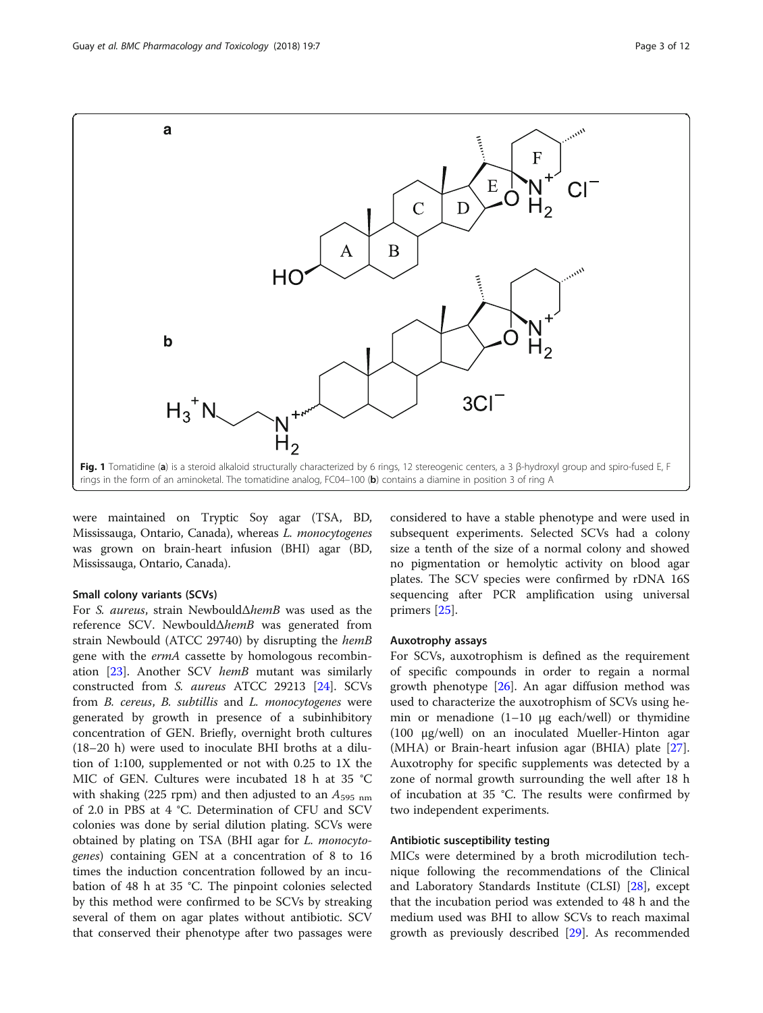<span id="page-2-0"></span>

were maintained on Tryptic Soy agar (TSA, BD, Mississauga, Ontario, Canada), whereas L. monocytogenes was grown on brain-heart infusion (BHI) agar (BD, Mississauga, Ontario, Canada).

# Small colony variants (SCVs)

For S. aureus, strain NewbouldΔhemB was used as the reference SCV. NewbouldΔhemB was generated from strain Newbould (ATCC 29740) by disrupting the hemB gene with the ermA cassette by homologous recombin-ation [\[23\]](#page-10-0). Another SCV hemB mutant was similarly constructed from S. aureus ATCC 29213 [[24\]](#page-10-0). SCVs from B. cereus, B. subtillis and L. monocytogenes were generated by growth in presence of a subinhibitory concentration of GEN. Briefly, overnight broth cultures (18–20 h) were used to inoculate BHI broths at a dilution of 1:100, supplemented or not with 0.25 to 1X the MIC of GEN. Cultures were incubated 18 h at 35 °C with shaking (225 rpm) and then adjusted to an  $A_{595\;nm}$ of 2.0 in PBS at 4 °C. Determination of CFU and SCV colonies was done by serial dilution plating. SCVs were obtained by plating on TSA (BHI agar for L. monocytogenes) containing GEN at a concentration of 8 to 16 times the induction concentration followed by an incubation of 48 h at 35 °C. The pinpoint colonies selected by this method were confirmed to be SCVs by streaking several of them on agar plates without antibiotic. SCV that conserved their phenotype after two passages were

considered to have a stable phenotype and were used in subsequent experiments. Selected SCVs had a colony size a tenth of the size of a normal colony and showed no pigmentation or hemolytic activity on blood agar plates. The SCV species were confirmed by rDNA 16S sequencing after PCR amplification using universal primers [\[25](#page-10-0)].

#### Auxotrophy assays

For SCVs, auxotrophism is defined as the requirement of specific compounds in order to regain a normal growth phenotype [[26](#page-10-0)]. An agar diffusion method was used to characterize the auxotrophism of SCVs using hemin or menadione (1–10 μg each/well) or thymidine (100 μg/well) on an inoculated Mueller-Hinton agar (MHA) or Brain-heart infusion agar (BHIA) plate [\[27](#page-10-0)]. Auxotrophy for specific supplements was detected by a zone of normal growth surrounding the well after 18 h of incubation at 35 °C. The results were confirmed by two independent experiments.

#### Antibiotic susceptibility testing

MICs were determined by a broth microdilution technique following the recommendations of the Clinical and Laboratory Standards Institute (CLSI) [\[28](#page-10-0)], except that the incubation period was extended to 48 h and the medium used was BHI to allow SCVs to reach maximal growth as previously described [\[29](#page-10-0)]. As recommended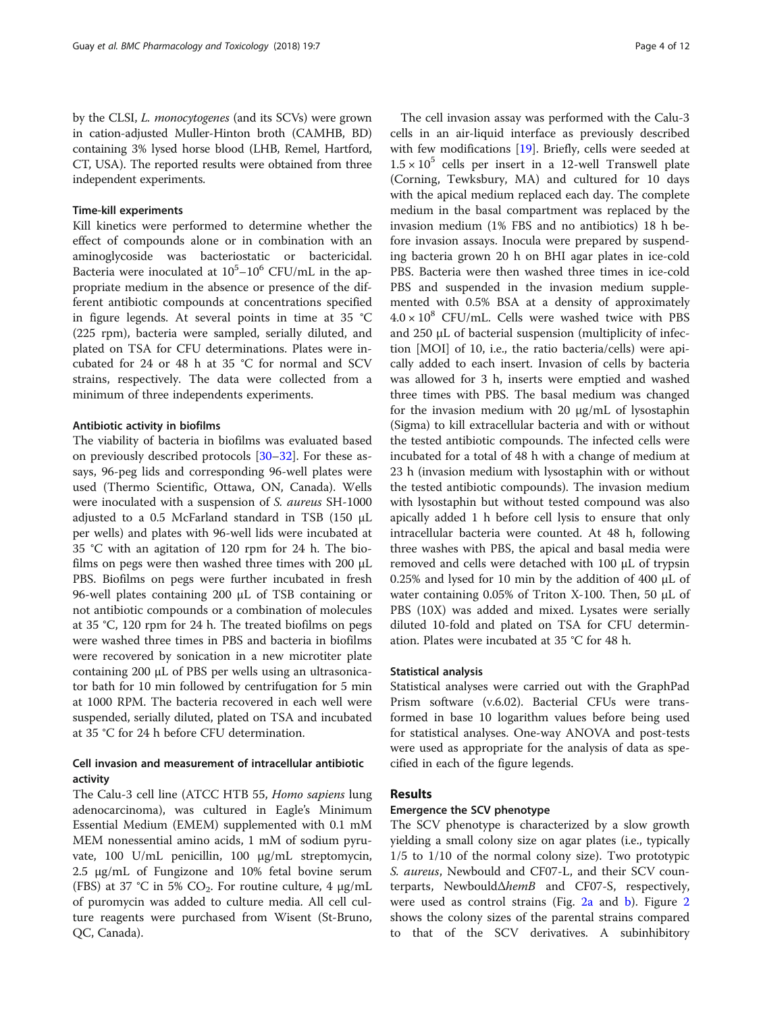by the CLSI, L. monocytogenes (and its SCVs) were grown in cation-adjusted Muller-Hinton broth (CAMHB, BD) containing 3% lysed horse blood (LHB, Remel, Hartford, CT, USA). The reported results were obtained from three independent experiments.

# Time-kill experiments

Kill kinetics were performed to determine whether the effect of compounds alone or in combination with an aminoglycoside was bacteriostatic or bactericidal. Bacteria were inoculated at  $10^5 - 10^6$  CFU/mL in the appropriate medium in the absence or presence of the different antibiotic compounds at concentrations specified in figure legends. At several points in time at 35 °C (225 rpm), bacteria were sampled, serially diluted, and plated on TSA for CFU determinations. Plates were incubated for 24 or 48 h at 35 °C for normal and SCV strains, respectively. The data were collected from a minimum of three independents experiments.

# Antibiotic activity in biofilms

The viability of bacteria in biofilms was evaluated based on previously described protocols [[30](#page-10-0)–[32](#page-10-0)]. For these assays, 96-peg lids and corresponding 96-well plates were used (Thermo Scientific, Ottawa, ON, Canada). Wells were inoculated with a suspension of S. aureus SH-1000 adjusted to a 0.5 McFarland standard in TSB (150 μL per wells) and plates with 96-well lids were incubated at 35 °C with an agitation of 120 rpm for 24 h. The biofilms on pegs were then washed three times with 200 μL PBS. Biofilms on pegs were further incubated in fresh 96-well plates containing 200 μL of TSB containing or not antibiotic compounds or a combination of molecules at 35 °C, 120 rpm for 24 h. The treated biofilms on pegs were washed three times in PBS and bacteria in biofilms were recovered by sonication in a new microtiter plate containing 200 μL of PBS per wells using an ultrasonicator bath for 10 min followed by centrifugation for 5 min at 1000 RPM. The bacteria recovered in each well were suspended, serially diluted, plated on TSA and incubated at 35 °C for 24 h before CFU determination.

# Cell invasion and measurement of intracellular antibiotic activity

The Calu-3 cell line (ATCC HTB 55, Homo sapiens lung adenocarcinoma), was cultured in Eagle's Minimum Essential Medium (EMEM) supplemented with 0.1 mM MEM nonessential amino acids, 1 mM of sodium pyruvate, 100 U/mL penicillin, 100 μg/mL streptomycin, 2.5 μg/mL of Fungizone and 10% fetal bovine serum (FBS) at 37 °C in 5%  $CO_2$ . For routine culture, 4  $\mu$ g/mL of puromycin was added to culture media. All cell culture reagents were purchased from Wisent (St-Bruno, QC, Canada).

The cell invasion assay was performed with the Calu-3 cells in an air-liquid interface as previously described with few modifications [[19](#page-10-0)]. Briefly, cells were seeded at  $1.5 \times 10^5$  cells per insert in a 12-well Transwell plate (Corning, Tewksbury, MA) and cultured for 10 days with the apical medium replaced each day. The complete medium in the basal compartment was replaced by the invasion medium (1% FBS and no antibiotics) 18 h before invasion assays. Inocula were prepared by suspending bacteria grown 20 h on BHI agar plates in ice-cold PBS. Bacteria were then washed three times in ice-cold PBS and suspended in the invasion medium supplemented with 0.5% BSA at a density of approximately  $4.0 \times 10^8$  CFU/mL. Cells were washed twice with PBS and 250 μL of bacterial suspension (multiplicity of infection [MOI] of 10, i.e., the ratio bacteria/cells) were apically added to each insert. Invasion of cells by bacteria was allowed for 3 h, inserts were emptied and washed three times with PBS. The basal medium was changed for the invasion medium with 20 μg/mL of lysostaphin (Sigma) to kill extracellular bacteria and with or without the tested antibiotic compounds. The infected cells were incubated for a total of 48 h with a change of medium at 23 h (invasion medium with lysostaphin with or without the tested antibiotic compounds). The invasion medium with lysostaphin but without tested compound was also apically added 1 h before cell lysis to ensure that only intracellular bacteria were counted. At 48 h, following three washes with PBS, the apical and basal media were removed and cells were detached with 100 μL of trypsin 0.25% and lysed for 10 min by the addition of 400 μL of water containing 0.05% of Triton X-100. Then, 50 μL of PBS (10X) was added and mixed. Lysates were serially diluted 10-fold and plated on TSA for CFU determination. Plates were incubated at 35 °C for 48 h.

#### Statistical analysis

Statistical analyses were carried out with the GraphPad Prism software (v.6.02). Bacterial CFUs were transformed in base 10 logarithm values before being used for statistical analyses. One-way ANOVA and post-tests were used as appropriate for the analysis of data as specified in each of the figure legends.

# Results

# Emergence the SCV phenotype

The SCV phenotype is characterized by a slow growth yielding a small colony size on agar plates (i.e., typically 1/5 to 1/10 of the normal colony size). Two prototypic S. aureus, Newbould and CF07-L, and their SCV counterparts, NewbouldΔhemB and CF07-S, respectively, were used as control strains (Fig. [2a](#page-4-0) and [b\)](#page-4-0). Figure [2](#page-4-0) shows the colony sizes of the parental strains compared to that of the SCV derivatives. A subinhibitory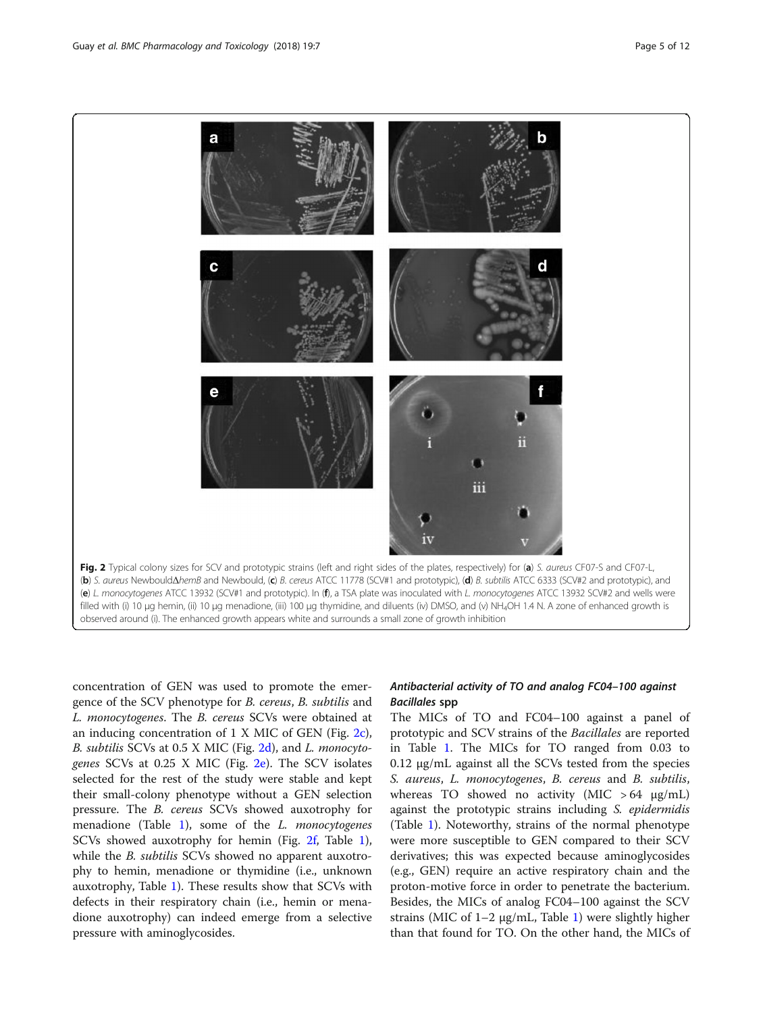<span id="page-4-0"></span>

observed around (i). The enhanced growth appears white and surrounds a small zone of growth inhibition

concentration of GEN was used to promote the emergence of the SCV phenotype for B. cereus, B. subtilis and L. monocytogenes. The B. cereus SCVs were obtained at an inducing concentration of 1 X MIC of GEN (Fig. 2c), B. subtilis SCVs at 0.5 X MIC (Fig. 2d), and L. monocytogenes SCVs at 0.25 X MIC (Fig. 2e). The SCV isolates selected for the rest of the study were stable and kept their small-colony phenotype without a GEN selection pressure. The B. cereus SCVs showed auxotrophy for menadione (Table [1\)](#page-5-0), some of the L. monocytogenes SCVs showed auxotrophy for hemin (Fig. 2f, Table [1](#page-5-0)), while the *B. subtilis* SCVs showed no apparent auxotrophy to hemin, menadione or thymidine (i.e., unknown auxotrophy, Table [1](#page-5-0)). These results show that SCVs with defects in their respiratory chain (i.e., hemin or menadione auxotrophy) can indeed emerge from a selective pressure with aminoglycosides.

# Antibacterial activity of TO and analog FC04–100 against Bacillales spp

The MICs of TO and FC04–100 against a panel of prototypic and SCV strains of the Bacillales are reported in Table [1](#page-5-0). The MICs for TO ranged from 0.03 to 0.12 μg/mL against all the SCVs tested from the species S. aureus, L. monocytogenes, B. cereus and B. subtilis, whereas TO showed no activity (MIC  $>64$  µg/mL) against the prototypic strains including S. epidermidis (Table [1\)](#page-5-0). Noteworthy, strains of the normal phenotype were more susceptible to GEN compared to their SCV derivatives; this was expected because aminoglycosides (e.g., GEN) require an active respiratory chain and the proton-motive force in order to penetrate the bacterium. Besides, the MICs of analog FC04–100 against the SCV strains (MIC of  $1-2 \mu g/mL$ , Table [1\)](#page-5-0) were slightly higher than that found for TO. On the other hand, the MICs of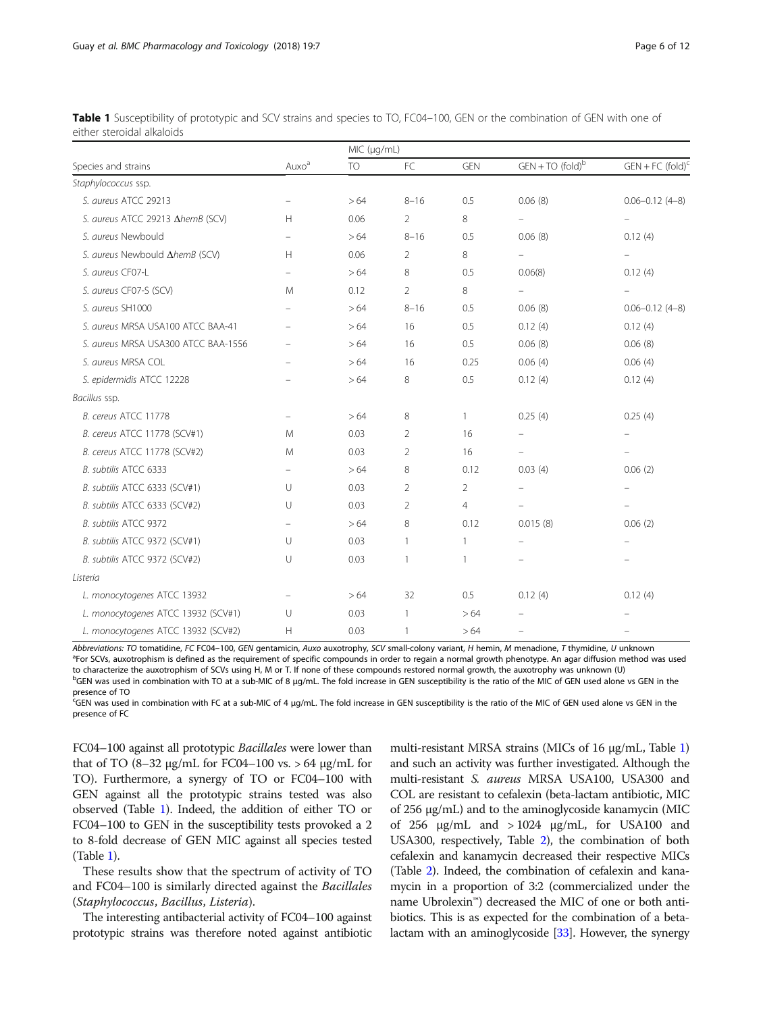| Species and strains                 | Auxo <sup>a</sup>        | MIC (µg/mL) |              |                |                          |                                |  |
|-------------------------------------|--------------------------|-------------|--------------|----------------|--------------------------|--------------------------------|--|
|                                     |                          | <b>TO</b>   | FC           | <b>GEN</b>     | $GEN + TO (fold)b$       | $GEN + FC (fold)^c$            |  |
| Staphylococcus ssp.                 |                          |             |              |                |                          |                                |  |
| S. aureus ATCC 29213                | $\qquad \qquad -$        | >64         | $8 - 16$     | 0.5            | 0.06(8)                  | $0.06 - 0.12$ (4-8)            |  |
| S. aureus ATCC 29213 AhemB (SCV)    | H                        | 0.06        | 2            | 8              |                          |                                |  |
| S. aureus Newbould                  | $\qquad \qquad -$        | >64         | $8 - 16$     | 0.5            | 0.06(8)                  | 0.12(4)                        |  |
| S. aureus Newbould AhemB (SCV)      | H                        | 0.06        | 2            | 8              | $\overline{\phantom{0}}$ | $\overline{\phantom{0}}$       |  |
| S. aureus CF07-L                    | $\qquad \qquad -$        | >64         | 8            | 0.5            | 0.06(8)                  | 0.12(4)                        |  |
| S. aureus CF07-S (SCV)              | M                        | 0.12        | 2            | 8              | $\overline{\phantom{a}}$ |                                |  |
| S. aureus SH1000                    |                          | >64         | $8 - 16$     | 0.5            | 0.06(8)                  | $0.06 - 0.12$ (4-8)            |  |
| S. aureus MRSA USA100 ATCC BAA-41   |                          | >64         | 16           | 0.5            | 0.12(4)                  | 0.12(4)                        |  |
| S. aureus MRSA USA300 ATCC BAA-1556 |                          | >64         | 16           | 0.5            | 0.06(8)                  | 0.06(8)                        |  |
| S. aureus MRSA COL                  | $\overline{\phantom{m}}$ | >64         | 16           | 0.25           | 0.06(4)                  | 0.06(4)                        |  |
| S. epidermidis ATCC 12228           |                          | >64         | 8            | 0.5            | 0.12(4)                  | 0.12(4)                        |  |
| Bacillus ssp.                       |                          |             |              |                |                          |                                |  |
| B. cereus ATCC 11778                | $\overline{\phantom{m}}$ | >64         | 8            | 1              | 0.25(4)                  | 0.25(4)                        |  |
| B. cereus ATCC 11778 (SCV#1)        | M                        | 0.03        | 2            | 16             | $\overline{\phantom{0}}$ | $\qquad \qquad \longleftarrow$ |  |
| B. cereus ATCC 11778 (SCV#2)        | M                        | 0.03        | 2            | 16             |                          | $\overline{\phantom{a}}$       |  |
| B. subtilis ATCC 6333               | $\overline{\phantom{0}}$ | >64         | 8            | 0.12           | 0.03(4)                  | 0.06(2)                        |  |
| B. subtilis ATCC 6333 (SCV#1)       | U                        | 0.03        | 2            | 2              | $\overline{\phantom{m}}$ | $\qquad \qquad -$              |  |
| B. subtilis ATCC 6333 (SCV#2)       | U                        | 0.03        | 2            | $\overline{4}$ | $\overline{\phantom{0}}$ | $\qquad \qquad -$              |  |
| B. subtilis ATCC 9372               | $\equiv$                 | >64         | 8            | 0.12           | 0.015(8)                 | 0.06(2)                        |  |
| B. subtilis ATCC 9372 (SCV#1)       | U                        | 0.03        | $\mathbf{1}$ | 1              | $\qquad \qquad -$        | $\overline{\phantom{m}}$       |  |
| B. subtilis ATCC 9372 (SCV#2)       | U                        | 0.03        | $\mathbf{1}$ | 1              | $\overline{\phantom{m}}$ |                                |  |
| Listeria                            |                          |             |              |                |                          |                                |  |
| L. monocytogenes ATCC 13932         |                          | >64         | 32           | 0.5            | 0.12(4)                  | 0.12(4)                        |  |
| L. monocytogenes ATCC 13932 (SCV#1) | U                        | 0.03        | $\mathbf{1}$ | >64            |                          |                                |  |
| L. monocytogenes ATCC 13932 (SCV#2) | H                        | 0.03        | $\mathbf{1}$ | >64            | $\overline{\phantom{0}}$ |                                |  |

<span id="page-5-0"></span>Table 1 Susceptibility of prototypic and SCV strains and species to TO, FC04–100, GEN or the combination of GEN with one of either steroidal alkaloids

Abbreviations: TO tomatidine, FC FC04-100, GEN gentamicin, Auxo auxotrophy, SCV small-colony variant, H hemin, M menadione, T thymidine, U unknown <sup>a</sup>For SCVs, auxotrophism is defined as the requirement of specific compounds in order to regain a normal growth phenotype. An agar diffusion method was used to characterize the auxotrophism of SCVs using H, M or T. If none of these compounds restored normal growth, the auxotrophy was unknown (U) bGEN was used in combination with TO at a sub-MIC of 8 μg/mL. The fold increase in GEN susceptibility is the ratio of the MIC of GEN used alone vs GEN in the presence of TO

.<br><sup>C</sup>GEN was used in combination with FC at a sub-MIC of 4 μg/mL. The fold increase in GEN susceptibility is the ratio of the MIC of GEN used alone vs GEN in the presence of FC

FC04–100 against all prototypic Bacillales were lower than that of TO  $(8-32 \text{ μg/mL}$  for FC04-100 vs. > 64 μg/mL for TO). Furthermore, a synergy of TO or FC04–100 with GEN against all the prototypic strains tested was also observed (Table 1). Indeed, the addition of either TO or FC04–100 to GEN in the susceptibility tests provoked a 2 to 8-fold decrease of GEN MIC against all species tested (Table 1).

These results show that the spectrum of activity of TO and FC04–100 is similarly directed against the Bacillales (Staphylococcus, Bacillus, Listeria).

The interesting antibacterial activity of FC04–100 against prototypic strains was therefore noted against antibiotic

multi-resistant MRSA strains (MICs of 16 μg/mL, Table 1) and such an activity was further investigated. Although the multi-resistant S. aureus MRSA USA100, USA300 and COL are resistant to cefalexin (beta-lactam antibiotic, MIC of 256 μg/mL) and to the aminoglycoside kanamycin (MIC of 256 μg/mL and > 1024 μg/mL, for USA100 and USA300, respectively, Table [2\)](#page-6-0), the combination of both cefalexin and kanamycin decreased their respective MICs (Table [2\)](#page-6-0). Indeed, the combination of cefalexin and kanamycin in a proportion of 3:2 (commercialized under the name Ubrolexin™) decreased the MIC of one or both antibiotics. This is as expected for the combination of a betalactam with an aminoglycoside [[33](#page-10-0)]. However, the synergy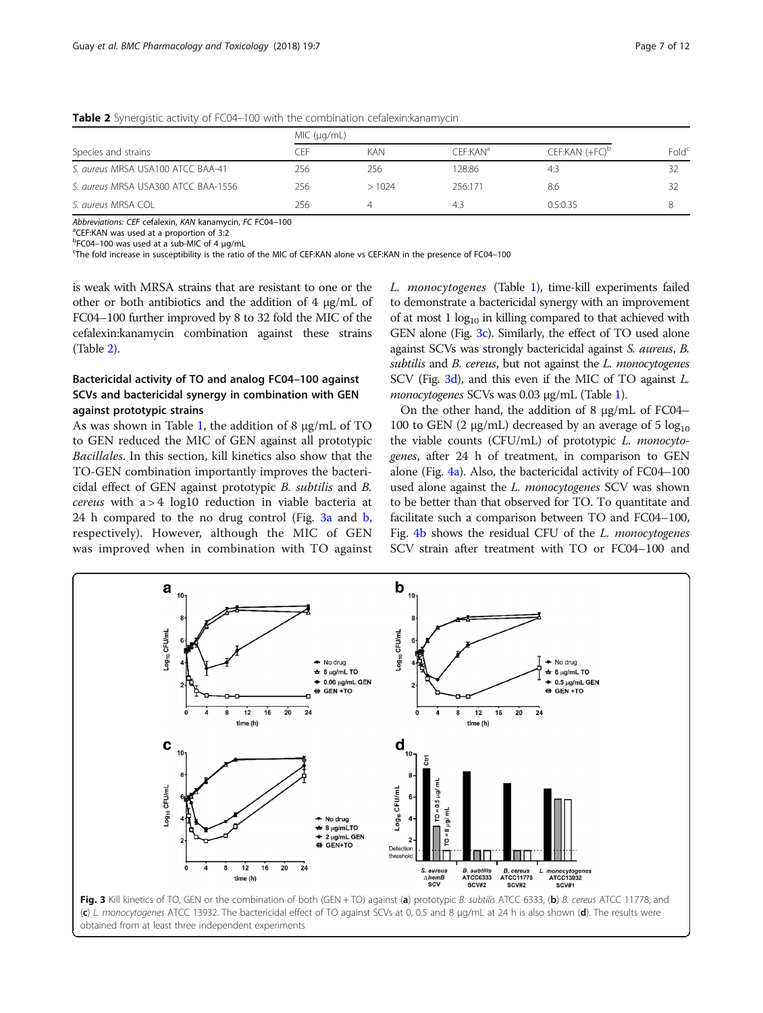| Species and strains                 | MIC (µq/mL) |            |                      |                            |                   |  |
|-------------------------------------|-------------|------------|----------------------|----------------------------|-------------------|--|
|                                     | ΩFF         | <b>KAN</b> | CFF:KAN <sup>a</sup> | CEF:KAN (+FC) <sup>D</sup> | Fold <sup>c</sup> |  |
| S. aureus MRSA USA100 ATCC BAA-41   | 256         | 256        | 28:86                | 4:3                        |                   |  |
| S. aureus MRSA USA300 ATCC BAA-1556 | 256         | >1024      | 256:171              | 8:6                        | 32                |  |
| S. aureus MRSA COL                  | 256         | 4          | 4:3                  | 0.5:0.35                   | 8                 |  |

<span id="page-6-0"></span>**Table 2** Synergistic activity of FC04–100 with the combination cefalexin: kanamycin

Abbreviations: CEF cefalexin, KAN kanamycin, FC FC04-100

<sup>a</sup>CEF:KAN was used at a proportion of 3:2

<sup>b</sup>FC04-100 was used at a sub-MIC of 4 μg/mL<br><sup>c</sup>Tbo fold increase in succeptibility is the ratio

The fold increase in susceptibility is the ratio of the MIC of CEF:KAN alone vs CEF:KAN in the presence of FC04–100

is weak with MRSA strains that are resistant to one or the other or both antibiotics and the addition of 4 μg/mL of FC04–100 further improved by 8 to 32 fold the MIC of the cefalexin:kanamycin combination against these strains (Table 2).

# Bactericidal activity of TO and analog FC04–100 against SCVs and bactericidal synergy in combination with GEN against prototypic strains

As was shown in Table [1,](#page-5-0) the addition of 8 μg/mL of TO to GEN reduced the MIC of GEN against all prototypic Bacillales. In this section, kill kinetics also show that the TO-GEN combination importantly improves the bactericidal effect of GEN against prototypic B. subtilis and B. cereus with a > 4 log10 reduction in viable bacteria at 24 h compared to the no drug control (Fig. 3a and b, respectively). However, although the MIC of GEN was improved when in combination with TO against

L. monocytogenes (Table [1\)](#page-5-0), time-kill experiments failed to demonstrate a bactericidal synergy with an improvement of at most  $1 \log_{10}$  in killing compared to that achieved with GEN alone (Fig. 3c). Similarly, the effect of TO used alone against SCVs was strongly bactericidal against S. aureus, B. subtilis and B. cereus, but not against the L. monocytogenes SCV (Fig. 3d), and this even if the MIC of TO against L. monocytogenes SCVs was 0.03 μg/mL (Table [1\)](#page-5-0).

On the other hand, the addition of 8 μg/mL of FC04– 100 to GEN (2 μg/mL) decreased by an average of 5  $log_{10}$ the viable counts (CFU/mL) of prototypic L. monocytogenes, after 24 h of treatment, in comparison to GEN alone (Fig. [4a\)](#page-7-0). Also, the bactericidal activity of FC04–100 used alone against the *L. monocytogenes* SCV was shown to be better than that observed for TO. To quantitate and facilitate such a comparison between TO and FC04–100, Fig. [4b](#page-7-0) shows the residual CFU of the L. monocytogenes SCV strain after treatment with TO or FC04–100 and

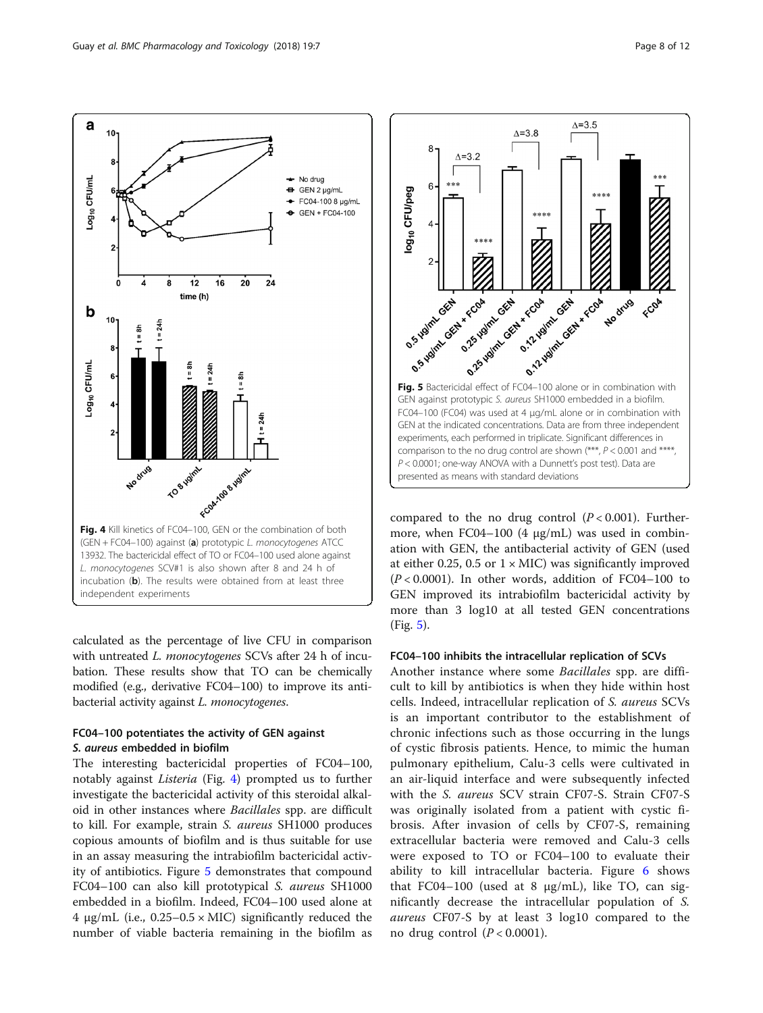<span id="page-7-0"></span>a

.og<sub>10</sub> CFU/mL

b  $10$ 

-og<sub>10</sub> CFU/mL

10

8

 $\overline{2}$ 

 $\overline{A}$ 8

 $t = 24$ 



**POPYSITY** Foot race system No drug Fig. 4 Kill kinetics of FC04-100, GEN or the combination of both (GEN + FC04–100) against (a) prototypic L. monocytogenes ATCC 13932. The bactericidal effect of TO or FC04–100 used alone against L. monocytogenes SCV#1 is also shown after 8 and 24 h of incubation (b). The results were obtained from at least three independent experiments

 $t = 24$ 

calculated as the percentage of live CFU in comparison with untreated L. monocytogenes SCVs after 24 h of incubation. These results show that TO can be chemically modified (e.g., derivative FC04–100) to improve its antibacterial activity against L. monocytogenes.

# FC04–100 potentiates the activity of GEN against S. aureus embedded in biofilm

The interesting bactericidal properties of FC04–100, notably against Listeria (Fig. 4) prompted us to further investigate the bactericidal activity of this steroidal alkaloid in other instances where Bacillales spp. are difficult to kill. For example, strain S. aureus SH1000 produces copious amounts of biofilm and is thus suitable for use in an assay measuring the intrabiofilm bactericidal activity of antibiotics. Figure 5 demonstrates that compound FC04–100 can also kill prototypical S. aureus SH1000 embedded in a biofilm. Indeed, FC04–100 used alone at 4 μg/mL (i.e.,  $0.25-0.5 \times$  MIC) significantly reduced the number of viable bacteria remaining in the biofilm as



compared to the no drug control  $(P < 0.001)$ . Furthermore, when FC04–100 (4 μg/mL) was used in combination with GEN, the antibacterial activity of GEN (used at either 0.25, 0.5 or  $1 \times$  MIC) was significantly improved  $(P < 0.0001)$ . In other words, addition of FC04-100 to GEN improved its intrabiofilm bactericidal activity by more than 3 log10 at all tested GEN concentrations (Fig. 5).

# FC04–100 inhibits the intracellular replication of SCVs

Another instance where some Bacillales spp. are difficult to kill by antibiotics is when they hide within host cells. Indeed, intracellular replication of S. aureus SCVs is an important contributor to the establishment of chronic infections such as those occurring in the lungs of cystic fibrosis patients. Hence, to mimic the human pulmonary epithelium, Calu-3 cells were cultivated in an air-liquid interface and were subsequently infected with the S. aureus SCV strain CF07-S. Strain CF07-S was originally isolated from a patient with cystic fibrosis. After invasion of cells by CF07-S, remaining extracellular bacteria were removed and Calu-3 cells were exposed to TO or FC04–100 to evaluate their ability to kill intracellular bacteria. Figure [6](#page-8-0) shows that FC04–100 (used at 8  $\mu$ g/mL), like TO, can significantly decrease the intracellular population of S. aureus CF07-S by at least 3 log10 compared to the no drug control  $(P < 0.0001)$ .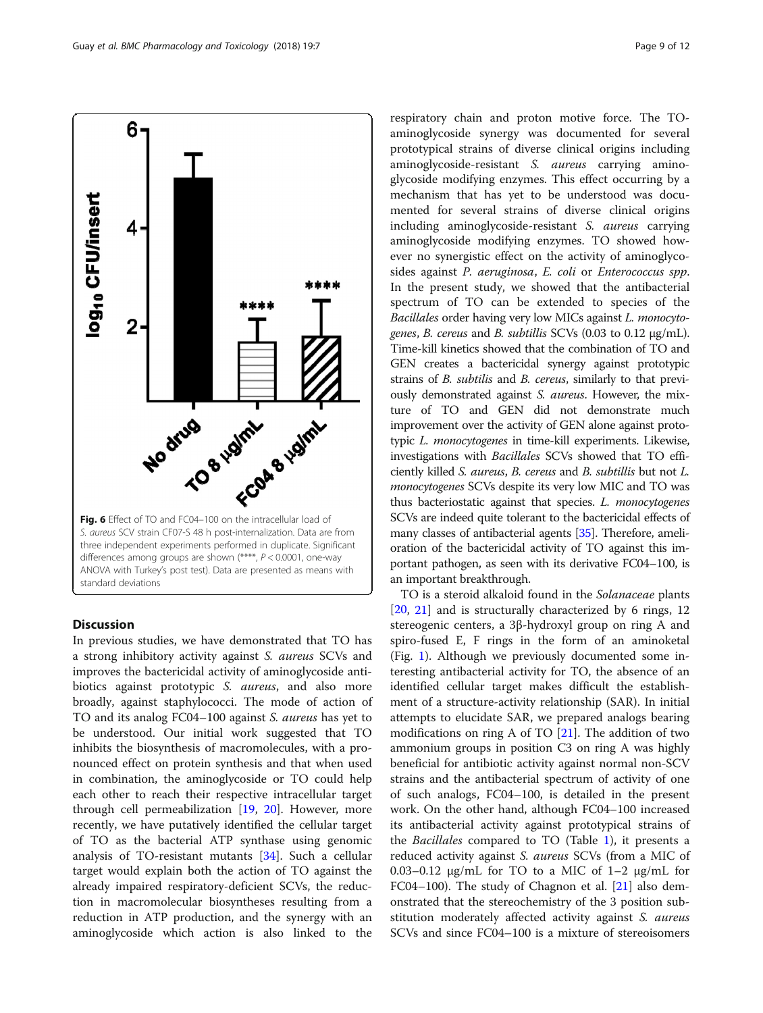<span id="page-8-0"></span>

# **Discussion**

In previous studies, we have demonstrated that TO has a strong inhibitory activity against S. aureus SCVs and improves the bactericidal activity of aminoglycoside antibiotics against prototypic S. aureus, and also more broadly, against staphylococci. The mode of action of TO and its analog FC04–100 against S. aureus has yet to be understood. Our initial work suggested that TO inhibits the biosynthesis of macromolecules, with a pronounced effect on protein synthesis and that when used in combination, the aminoglycoside or TO could help each other to reach their respective intracellular target through cell permeabilization [\[19](#page-10-0), [20\]](#page-10-0). However, more recently, we have putatively identified the cellular target of TO as the bacterial ATP synthase using genomic analysis of TO-resistant mutants [[34](#page-10-0)]. Such a cellular target would explain both the action of TO against the already impaired respiratory-deficient SCVs, the reduction in macromolecular biosyntheses resulting from a reduction in ATP production, and the synergy with an aminoglycoside which action is also linked to the

respiratory chain and proton motive force. The TOaminoglycoside synergy was documented for several prototypical strains of diverse clinical origins including aminoglycoside-resistant S. aureus carrying aminoglycoside modifying enzymes. This effect occurring by a mechanism that has yet to be understood was documented for several strains of diverse clinical origins including aminoglycoside-resistant S. aureus carrying aminoglycoside modifying enzymes. TO showed however no synergistic effect on the activity of aminoglycosides against P. aeruginosa, E. coli or Enterococcus spp. In the present study, we showed that the antibacterial spectrum of TO can be extended to species of the Bacillales order having very low MICs against L. monocytogenes, B. cereus and B. subtillis SCVs (0.03 to 0.12 μg/mL). Time-kill kinetics showed that the combination of TO and GEN creates a bactericidal synergy against prototypic strains of B. subtilis and B. cereus, similarly to that previously demonstrated against S. aureus. However, the mixture of TO and GEN did not demonstrate much improvement over the activity of GEN alone against prototypic L. monocytogenes in time-kill experiments. Likewise, investigations with Bacillales SCVs showed that TO efficiently killed S. aureus, B. cereus and B. subtillis but not L. monocytogenes SCVs despite its very low MIC and TO was thus bacteriostatic against that species. L. monocytogenes SCVs are indeed quite tolerant to the bactericidal effects of many classes of antibacterial agents [\[35\]](#page-10-0). Therefore, amelioration of the bactericidal activity of TO against this important pathogen, as seen with its derivative FC04–100, is an important breakthrough.

TO is a steroid alkaloid found in the Solanaceae plants [[20,](#page-10-0) [21\]](#page-10-0) and is structurally characterized by 6 rings, 12 stereogenic centers, a 3β-hydroxyl group on ring A and spiro-fused E, F rings in the form of an aminoketal (Fig. [1\)](#page-2-0). Although we previously documented some interesting antibacterial activity for TO, the absence of an identified cellular target makes difficult the establishment of a structure-activity relationship (SAR). In initial attempts to elucidate SAR, we prepared analogs bearing modifications on ring A of TO [[21\]](#page-10-0). The addition of two ammonium groups in position C3 on ring A was highly beneficial for antibiotic activity against normal non-SCV strains and the antibacterial spectrum of activity of one of such analogs, FC04–100, is detailed in the present work. On the other hand, although FC04–100 increased its antibacterial activity against prototypical strains of the Bacillales compared to TO (Table [1](#page-5-0)), it presents a reduced activity against S. aureus SCVs (from a MIC of 0.03–0.12 μg/mL for TO to a MIC of 1–2 μg/mL for FC04–100). The study of Chagnon et al.  $[21]$  $[21]$  also demonstrated that the stereochemistry of the 3 position substitution moderately affected activity against S. *aureus* SCVs and since FC04–100 is a mixture of stereoisomers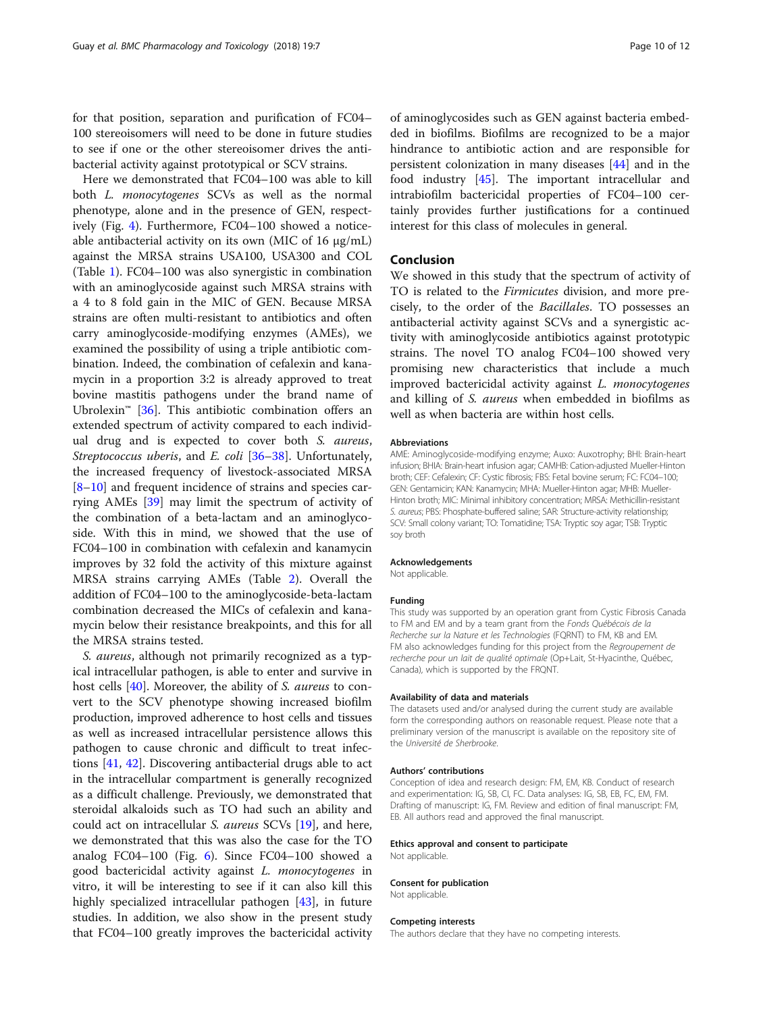for that position, separation and purification of FC04– 100 stereoisomers will need to be done in future studies to see if one or the other stereoisomer drives the antibacterial activity against prototypical or SCV strains.

Here we demonstrated that FC04–100 was able to kill both L. monocytogenes SCVs as well as the normal phenotype, alone and in the presence of GEN, respectively (Fig. [4\)](#page-7-0). Furthermore, FC04–100 showed a noticeable antibacterial activity on its own (MIC of 16 μg/mL) against the MRSA strains USA100, USA300 and COL (Table [1](#page-5-0)). FC04–100 was also synergistic in combination with an aminoglycoside against such MRSA strains with a 4 to 8 fold gain in the MIC of GEN. Because MRSA strains are often multi-resistant to antibiotics and often carry aminoglycoside-modifying enzymes (AMEs), we examined the possibility of using a triple antibiotic combination. Indeed, the combination of cefalexin and kanamycin in a proportion 3:2 is already approved to treat bovine mastitis pathogens under the brand name of Ubrolexin<sup>™</sup> [\[36](#page-10-0)]. This antibiotic combination offers an extended spectrum of activity compared to each individual drug and is expected to cover both S. aureus, Streptococcus uberis, and E. coli [[36](#page-10-0)–[38](#page-10-0)]. Unfortunately, the increased frequency of livestock-associated MRSA [[8](#page-10-0)–[10\]](#page-10-0) and frequent incidence of strains and species carrying AMEs [[39\]](#page-10-0) may limit the spectrum of activity of the combination of a beta-lactam and an aminoglycoside. With this in mind, we showed that the use of FC04–100 in combination with cefalexin and kanamycin improves by 32 fold the activity of this mixture against MRSA strains carrying AMEs (Table [2](#page-6-0)). Overall the addition of FC04–100 to the aminoglycoside-beta-lactam combination decreased the MICs of cefalexin and kanamycin below their resistance breakpoints, and this for all the MRSA strains tested.

S. aureus, although not primarily recognized as a typical intracellular pathogen, is able to enter and survive in host cells [\[40](#page-10-0)]. Moreover, the ability of *S. aureus* to convert to the SCV phenotype showing increased biofilm production, improved adherence to host cells and tissues as well as increased intracellular persistence allows this pathogen to cause chronic and difficult to treat infections [\[41,](#page-10-0) [42](#page-10-0)]. Discovering antibacterial drugs able to act in the intracellular compartment is generally recognized as a difficult challenge. Previously, we demonstrated that steroidal alkaloids such as TO had such an ability and could act on intracellular S. aureus SCVs [[19](#page-10-0)], and here, we demonstrated that this was also the case for the TO analog FC04–100 (Fig. [6](#page-8-0)). Since FC04–100 showed a good bactericidal activity against L. monocytogenes in vitro, it will be interesting to see if it can also kill this highly specialized intracellular pathogen [[43](#page-11-0)], in future studies. In addition, we also show in the present study that FC04–100 greatly improves the bactericidal activity

of aminoglycosides such as GEN against bacteria embedded in biofilms. Biofilms are recognized to be a major hindrance to antibiotic action and are responsible for persistent colonization in many diseases [[44\]](#page-11-0) and in the food industry [[45\]](#page-11-0). The important intracellular and intrabiofilm bactericidal properties of FC04–100 certainly provides further justifications for a continued interest for this class of molecules in general.

# Conclusion

We showed in this study that the spectrum of activity of TO is related to the Firmicutes division, and more precisely, to the order of the Bacillales. TO possesses an antibacterial activity against SCVs and a synergistic activity with aminoglycoside antibiotics against prototypic strains. The novel TO analog FC04–100 showed very promising new characteristics that include a much improved bactericidal activity against L. monocytogenes and killing of S. aureus when embedded in biofilms as well as when bacteria are within host cells.

#### Abbreviations

AME: Aminoglycoside-modifying enzyme; Auxo: Auxotrophy; BHI: Brain-heart infusion; BHIA: Brain-heart infusion agar; CAMHB: Cation-adjusted Mueller-Hinton broth; CEF: Cefalexin; CF: Cystic fibrosis; FBS: Fetal bovine serum; FC: FC04–100; GEN: Gentamicin; KAN: Kanamycin; MHA: Mueller-Hinton agar; MHB: Mueller-Hinton broth; MIC: Minimal inhibitory concentration; MRSA: Methicillin-resistant S. aureus; PBS: Phosphate-buffered saline; SAR: Structure-activity relationship; SCV: Small colony variant; TO: Tomatidine; TSA: Tryptic soy agar; TSB: Tryptic soy broth

#### Acknowledgements

Not applicable.

#### Funding

This study was supported by an operation grant from Cystic Fibrosis Canada to FM and EM and by a team grant from the Fonds Québécois de la Recherche sur la Nature et les Technologies (FQRNT) to FM, KB and EM. FM also acknowledges funding for this project from the Regroupement de recherche pour un lait de qualité optimale (Op+Lait, St-Hyacinthe, Québec, Canada), which is supported by the FRQNT.

#### Availability of data and materials

The datasets used and/or analysed during the current study are available form the corresponding authors on reasonable request. Please note that a preliminary version of the manuscript is available on the repository site of the Université de Sherbrooke.

#### Authors' contributions

Conception of idea and research design: FM, EM, KB. Conduct of research and experimentation: IG, SB, CI, FC. Data analyses: IG, SB, EB, FC, EM, FM. Drafting of manuscript: IG, FM. Review and edition of final manuscript: FM, EB. All authors read and approved the final manuscript.

#### Ethics approval and consent to participate

Not applicable.

#### Consent for publication

Not applicable.

#### Competing interests

The authors declare that they have no competing interests.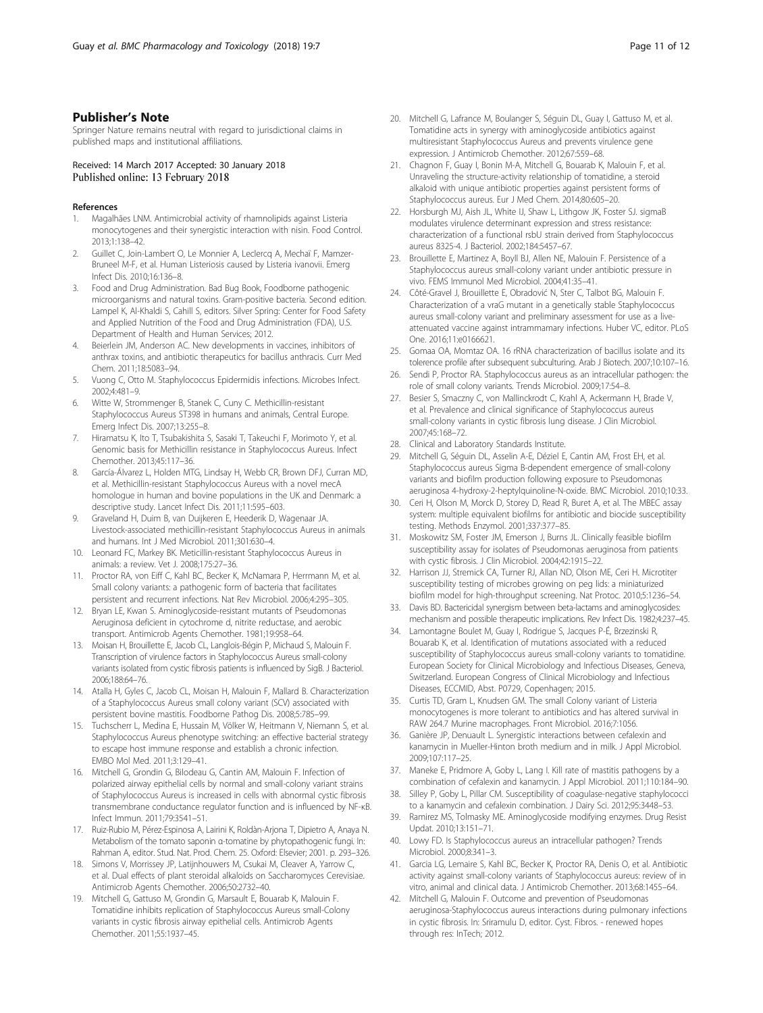# <span id="page-10-0"></span>Publisher's Note

Springer Nature remains neutral with regard to jurisdictional claims in published maps and institutional affiliations.

Received: 14 March 2017 Accepted: 30 January 2018<br>Published online: 13 February 2018

#### References

- 1. Magalhães LNM. Antimicrobial activity of rhamnolipids against Listeria monocytogenes and their synergistic interaction with nisin. Food Control. 2013;1:138–42.
- 2. Guillet C, Join-Lambert O, Le Monnier A, Leclercq A, Mechaï F, Mamzer-Bruneel M-F, et al. Human Listeriosis caused by Listeria ivanovii. Emerg Infect Dis. 2010;16:136–8.
- 3. Food and Drug Administration. Bad Bug Book, Foodborne pathogenic microorganisms and natural toxins. Gram-positive bacteria. Second edition. Lampel K, Al-Khaldi S, Cahill S, editors. Silver Spring: Center for Food Safety and Applied Nutrition of the Food and Drug Administration (FDA), U.S. Department of Health and Human Services; 2012.
- 4. Beierlein JM, Anderson AC. New developments in vaccines, inhibitors of anthrax toxins, and antibiotic therapeutics for bacillus anthracis. Curr Med Chem. 2011;18:5083–94.
- 5. Vuong C, Otto M. Staphylococcus Epidermidis infections. Microbes Infect. 2002;4:481–9.
- 6. Witte W, Strommenger B, Stanek C, Cuny C. Methicillin-resistant Staphylococcus Aureus ST398 in humans and animals, Central Europe. Emerg Infect Dis. 2007;13:255–8.
- 7. Hiramatsu K, Ito T, Tsubakishita S, Sasaki T, Takeuchi F, Morimoto Y, et al. Genomic basis for Methicillin resistance in Staphylococcus Aureus. Infect Chemother. 2013;45:117–36.
- García-Álvarez L, Holden MTG, Lindsay H, Webb CR, Brown DFJ, Curran MD, et al. Methicillin-resistant Staphylococcus Aureus with a novel mecA homologue in human and bovine populations in the UK and Denmark: a descriptive study. Lancet Infect Dis. 2011;11:595–603.
- 9. Graveland H, Duim B, van Duijkeren E, Heederik D, Wagenaar JA. Livestock-associated methicillin-resistant Staphylococcus Aureus in animals and humans. Int J Med Microbiol. 2011;301:630–4.
- 10. Leonard FC, Markey BK. Meticillin-resistant Staphylococcus Aureus in animals: a review. Vet J. 2008;175:27–36.
- 11. Proctor RA, von Eiff C, Kahl BC, Becker K, McNamara P, Herrmann M, et al. Small colony variants: a pathogenic form of bacteria that facilitates persistent and recurrent infections. Nat Rev Microbiol. 2006;4:295–305.
- 12. Bryan LE, Kwan S. Aminoglycoside-resistant mutants of Pseudomonas Aeruginosa deficient in cytochrome d, nitrite reductase, and aerobic transport. Antimicrob Agents Chemother. 1981;19:958–64.
- 13. Moisan H, Brouillette E, Jacob CL, Langlois-Bégin P, Michaud S, Malouin F. Transcription of virulence factors in Staphylococcus Aureus small-colony variants isolated from cystic fibrosis patients is influenced by SigB. J Bacteriol. 2006;188:64–76.
- 14. Atalla H, Gyles C, Jacob CL, Moisan H, Malouin F, Mallard B. Characterization of a Staphylococcus Aureus small colony variant (SCV) associated with persistent bovine mastitis. Foodborne Pathog Dis. 2008;5:785–99.
- 15. Tuchscherr L, Medina E, Hussain M, Völker W, Heitmann V, Niemann S, et al. Staphylococcus Aureus phenotype switching: an effective bacterial strategy to escape host immune response and establish a chronic infection. EMBO Mol Med. 2011;3:129–41.
- 16. Mitchell G, Grondin G, Bilodeau G, Cantin AM, Malouin F. Infection of polarized airway epithelial cells by normal and small-colony variant strains of Staphylococcus Aureus is increased in cells with abnormal cystic fibrosis transmembrane conductance regulator function and is influenced by NF-κB. Infect Immun. 2011;79:3541–51.
- 17. Ruiz-Rubio M, Pérez-Espinosa A, Lairini K, Roldàn-Arjona T, Dipietro A, Anaya N. Metabolism of the tomato saponin α-tomatine by phytopathogenic fungi. In: Rahman A, editor. Stud. Nat. Prod. Chem. 25. Oxford: Elsevier; 2001. p. 293–326.
- 18. Simons V, Morrissey JP, Latijnhouwers M, Csukai M, Cleaver A, Yarrow C, et al. Dual effects of plant steroidal alkaloids on Saccharomyces Cerevisiae. Antimicrob Agents Chemother. 2006;50:2732–40.
- 19. Mitchell G, Gattuso M, Grondin G, Marsault E, Bouarab K, Malouin F. Tomatidine inhibits replication of Staphylococcus Aureus small-Colony variants in cystic fibrosis airway epithelial cells. Antimicrob Agents Chemother. 2011;55:1937–45.
- 20. Mitchell G, Lafrance M, Boulanger S, Séguin DL, Guay I, Gattuso M, et al. Tomatidine acts in synergy with aminoglycoside antibiotics against multiresistant Staphylococcus Aureus and prevents virulence gene expression. J Antimicrob Chemother. 2012;67:559–68.
- 21. Chagnon F, Guay I, Bonin M-A, Mitchell G, Bouarab K, Malouin F, et al. Unraveling the structure-activity relationship of tomatidine, a steroid alkaloid with unique antibiotic properties against persistent forms of Staphylococcus aureus. Eur J Med Chem. 2014;80:605–20.
- 22. Horsburgh MJ, Aish JL, White IJ, Shaw L, Lithgow JK, Foster SJ. sigmaB modulates virulence determinant expression and stress resistance: characterization of a functional rsbU strain derived from Staphylococcus aureus 8325-4. J Bacteriol. 2002;184:5457–67.
- 23. Brouillette E, Martinez A, Boyll BJ, Allen NE, Malouin F. Persistence of a Staphylococcus aureus small-colony variant under antibiotic pressure in vivo. FEMS Immunol Med Microbiol. 2004;41:35–41.
- 24. Côté-Gravel J, Brouillette E, Obradović N, Ster C, Talbot BG, Malouin F. Characterization of a vraG mutant in a genetically stable Staphylococcus aureus small-colony variant and preliminary assessment for use as a liveattenuated vaccine against intrammamary infections. Huber VC, editor. PLoS One. 2016;11:e0166621.
- 25. Gomaa OA, Momtaz OA. 16 rRNA characterization of bacillus isolate and its tolerence profile after subsequent subculturing. Arab J Biotech. 2007;10:107–16.
- 26. Sendi P, Proctor RA. Staphylococcus aureus as an intracellular pathogen: the role of small colony variants. Trends Microbiol. 2009;17:54–8.
- 27. Besier S, Smaczny C, von Mallinckrodt C, Krahl A, Ackermann H, Brade V, et al. Prevalence and clinical significance of Staphylococcus aureus small-colony variants in cystic fibrosis lung disease. J Clin Microbiol. 2007;45:168–72.
- 28. Clinical and Laboratory Standards Institute.
- 29. Mitchell G, Séguin DL, Asselin A-E, Déziel E, Cantin AM, Frost EH, et al. Staphylococcus aureus Sigma B-dependent emergence of small-colony variants and biofilm production following exposure to Pseudomonas aeruginosa 4-hydroxy-2-heptylquinoline-N-oxide. BMC Microbiol. 2010;10:33.
- 30. Ceri H, Olson M, Morck D, Storey D, Read R, Buret A, et al. The MBEC assay system: multiple equivalent biofilms for antibiotic and biocide susceptibility testing. Methods Enzymol. 2001;337:377–85.
- 31. Moskowitz SM, Foster JM, Emerson J, Burns JL. Clinically feasible biofilm susceptibility assay for isolates of Pseudomonas aeruginosa from patients with cystic fibrosis. J Clin Microbiol. 2004;42:1915–22.
- 32. Harrison JJ, Stremick CA, Turner RJ, Allan ND, Olson ME, Ceri H. Microtiter susceptibility testing of microbes growing on peg lids: a miniaturized biofilm model for high-throughput screening. Nat Protoc. 2010;5:1236–54.
- 33. Davis BD. Bactericidal synergism between beta-lactams and aminoglycosides: mechanism and possible therapeutic implications. Rev Infect Dis. 1982;4:237–45.
- 34. Lamontagne Boulet M, Guay I, Rodrigue S, Jacques P-É, Brzezinski R, Bouarab K, et al. Identification of mutations associated with a reduced susceptibility of Staphylococcus aureus small-colony variants to tomatidine. European Society for Clinical Microbiology and Infectious Diseases, Geneva, Switzerland. European Congress of Clinical Microbiology and Infectious Diseases, ECCMID, Abst. P0729, Copenhagen; 2015.
- 35. Curtis TD, Gram L, Knudsen GM. The small Colony variant of Listeria monocytogenes is more tolerant to antibiotics and has altered survival in RAW 264.7 Murine macrophages. Front Microbiol. 2016;7:1056.
- 36. Ganière JP, Denuault L. Synergistic interactions between cefalexin and kanamycin in Mueller-Hinton broth medium and in milk. J Appl Microbiol. 2009;107:117–25.
- 37. Maneke E, Pridmore A, Goby L, Lang I. Kill rate of mastitis pathogens by a combination of cefalexin and kanamycin. J Appl Microbiol. 2011;110:184–90.
- 38. Silley P, Goby L, Pillar CM. Susceptibility of coagulase-negative staphylococci to a kanamycin and cefalexin combination. J Dairy Sci. 2012;95:3448–53.
- Ramirez MS, Tolmasky ME. Aminoglycoside modifying enzymes. Drug Resist Updat. 2010;13:151–71.
- 40. Lowy FD. Is Staphylococcus aureus an intracellular pathogen? Trends Microbiol. 2000;8:341–3.
- 41. Garcia LG, Lemaire S, Kahl BC, Becker K, Proctor RA, Denis O, et al. Antibiotic activity against small-colony variants of Staphylococcus aureus: review of in vitro, animal and clinical data. J Antimicrob Chemother. 2013;68:1455–64.
- 42. Mitchell G, Malouin F. Outcome and prevention of Pseudomonas aeruginosa-Staphylococcus aureus interactions during pulmonary infections in cystic fibrosis. In: Sriramulu D, editor. Cyst. Fibros. - renewed hopes through res: InTech; 2012.